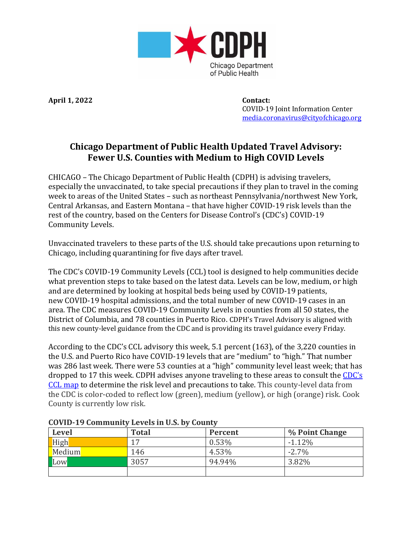

**April 1, 2022 Contact:**

 COVID-19 Joint Information Center [media.coronavirus@cityofchicago.org](mailto:media.coronavirus@cityofchicago.org)

## **Chicago Department of Public Health Updated Travel Advisory: Fewer U.S. Counties with Medium to High COVID Levels**

CHICAGO – The Chicago Department of Public Health (CDPH) is advising travelers, especially the unvaccinated, to take special precautions if they plan to travel in the coming week to areas of the United States – such as northeast Pennsylvania/northwest New York, Central Arkansas, and Eastern Montana – that have higher COVID-19 risk levels than the rest of the country, based on the Centers for Disease Control's (CDC's) COVID-19 Community Levels.

Unvaccinated travelers to these parts of the U.S. should take precautions upon returning to Chicago, including quarantining for five days after travel.

The CDC's COVID-19 Community Levels (CCL) tool is designed to help communities decide what prevention steps to take based on the latest data. Levels can be low, medium, or high and are determined by looking at hospital beds being used by COVID-19 patients, new COVID-19 hospital admissions, and the total number of new COVID-19 cases in an area. The CDC measures COVID-19 Community Levels in counties from all 50 states, the District of Columbia, and 78 counties in Puerto Rico. CDPH's Travel Advisory is aligned with this new county-level guidance from the CDC and is providing its travel guidance every Friday.

According to the CDC's CCL advisory this week, 5.1 percent (163), of the 3,220 counties in the U.S. and Puerto Rico have COVID-19 levels that are "medium" to "high." That number was 286 last week. There were 53 counties at a "high" community level least week; that has dropped to 17 this week. CDPH advises anyone traveling to these areas to consult the [CDC's](https://www.cdc.gov/coronavirus/2019-ncov/science/community-levels.html) CCL [map](https://www.cdc.gov/coronavirus/2019-ncov/science/community-levels.html) to determine the risk level and precautions to take. This county-level data from the CDC is color-coded to reflect low (green), medium (yellow), or high (orange) risk. Cook County is currently low risk.

| <b>Level</b> | <b>Total</b> | Percent | % Point Change |
|--------------|--------------|---------|----------------|
| High         | 17           | 0.53%   | $-1.12\%$      |
| Medium       | 146          | 4.53%   | $-2.7\%$       |
| Low          | 3057         | 94.94%  | 3.82%          |
|              |              |         |                |

## **COVID-19 Community Levels in U.S. by County**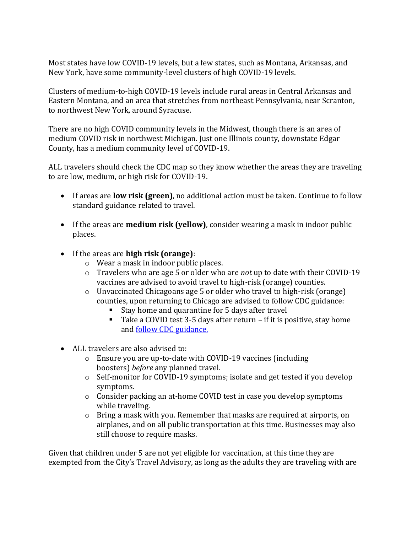Most states have low COVID-19 levels, but a few states, such as Montana, Arkansas, and New York, have some community-level clusters of high COVID-19 levels.

Clusters of medium-to-high COVID-19 levels include rural areas in Central Arkansas and Eastern Montana, and an area that stretches from northeast Pennsylvania, near Scranton, to northwest New York, around Syracuse.

There are no high COVID community levels in the Midwest, though there is an area of medium COVID risk in northwest Michigan. Just one Illinois county, downstate Edgar County, has a medium community level of COVID-19.

ALL travelers should check the CDC map so they know whether the areas they are traveling to are low, medium, or high risk for COVID-19.

- If areas are **low risk (green)**, no additional action must be taken. Continue to follow standard guidance related to travel.
- If the areas are **medium risk (yellow)**, consider wearing a mask in indoor public places.
- If the areas are **high risk (orange)**:
	- o Wear a mask in indoor public places.
	- o Travelers who are age 5 or older who are *not* up to date with their COVID-19 vaccines are advised to avoid travel to high-risk (orange) counties.
	- o Unvaccinated Chicagoans age 5 or older who travel to high-risk (orange) counties, upon returning to Chicago are advised to follow CDC guidance:
		- Stay home and quarantine for 5 days after travel
		- Take a COVID test 3-5 days after return if it is positive, stay home and [follow CDC guidance.](https://www.chicago.gov/city/en/sites/covid-19/home/managing-your-health.html?#tab-whattodo)
- ALL travelers are also advised to:
	- o Ensure you are up-to-date with COVID-19 vaccines (including boosters) *before* any planned travel.
	- o Self-monitor for COVID-19 symptoms; isolate and get tested if you develop symptoms.
	- o Consider packing an at-home COVID test in case you develop symptoms while traveling.
	- o Bring a mask with you. Remember that masks are required at airports, on airplanes, and on all public transportation at this time. Businesses may also still choose to require masks.

Given that children under 5 are not yet eligible for vaccination, at this time they are exempted from the City's Travel Advisory, as long as the adults they are traveling with are